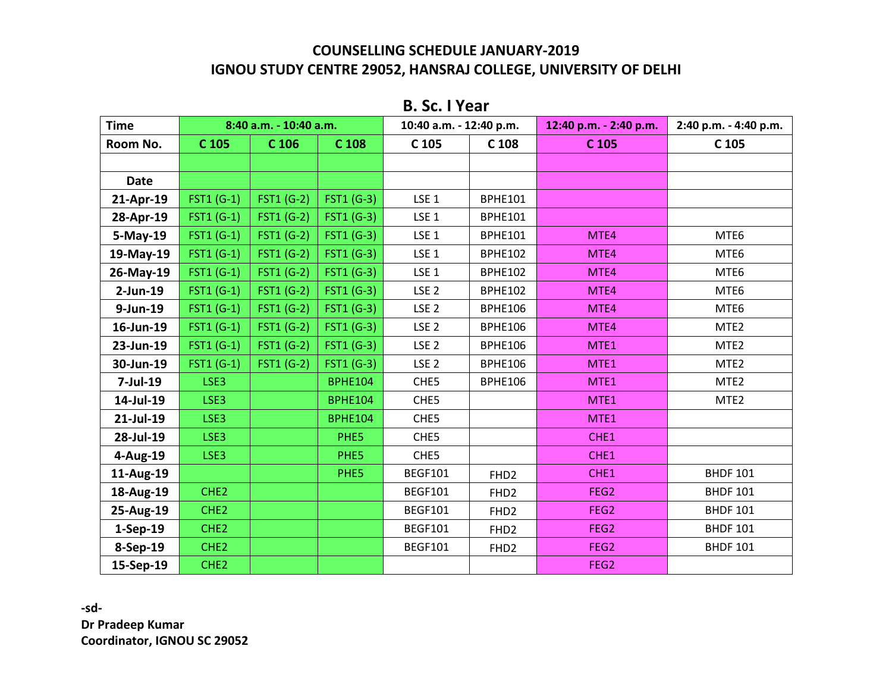# **B. Sc. I Year**

| <b>Time</b> |                   | 8:40 a.m. - 10:40 a.m. |                   | 10:40 a.m. - 12:40 p.m. |                  | 12:40 p.m. - 2:40 p.m. | 2:40 p.m. - 4:40 p.m. |
|-------------|-------------------|------------------------|-------------------|-------------------------|------------------|------------------------|-----------------------|
| Room No.    | C 105             | C 106                  | C 108             | C 105                   | C 108            | C 105                  | C 105                 |
|             |                   |                        |                   |                         |                  |                        |                       |
| <b>Date</b> |                   |                        |                   |                         |                  |                        |                       |
| 21-Apr-19   | FST1 (G-1)        | <b>FST1 (G-2)</b>      | <b>FST1 (G-3)</b> | LSE <sub>1</sub>        | <b>BPHE101</b>   |                        |                       |
| 28-Apr-19   | FST1 (G-1)        | <b>FST1 (G-2)</b>      | FST1 (G-3)        | LSE <sub>1</sub>        | <b>BPHE101</b>   |                        |                       |
| $5-May-19$  | <b>FST1 (G-1)</b> | <b>FST1 (G-2)</b>      | FST1 (G-3)        | LSE <sub>1</sub>        | <b>BPHE101</b>   | MTE4                   | MTE6                  |
| 19-May-19   | FST1 (G-1)        | <b>FST1 (G-2)</b>      | <b>FST1 (G-3)</b> | LSE <sub>1</sub>        | <b>BPHE102</b>   | MTE4                   | MTE6                  |
| 26-May-19   | <b>FST1 (G-1)</b> | <b>FST1 (G-2)</b>      | <b>FST1 (G-3)</b> | LSE <sub>1</sub>        | <b>BPHE102</b>   | MTE4                   | MTE6                  |
| $2$ -Jun-19 | FST1 (G-1)        | <b>FST1 (G-2)</b>      | FST1 (G-3)        | LSE <sub>2</sub>        | <b>BPHE102</b>   | MTE4                   | MTE6                  |
| 9-Jun-19    | FST1 (G-1)        | FST1 (G-2)             | FST1 (G-3)        | LSE <sub>2</sub>        | <b>BPHE106</b>   | MTE4                   | MTE6                  |
| 16-Jun-19   | FST1 (G-1)        | <b>FST1 (G-2)</b>      | <b>FST1 (G-3)</b> | LSE <sub>2</sub>        | <b>BPHE106</b>   | MTE4                   | MTE <sub>2</sub>      |
| 23-Jun-19   | $FST1(G-1)$       | FST1 (G-2)             | FST1 (G-3)        | LSE <sub>2</sub>        | <b>BPHE106</b>   | MTE1                   | MTE <sub>2</sub>      |
| 30-Jun-19   | <b>FST1 (G-1)</b> | <b>FST1 (G-2)</b>      | FST1 (G-3)        | LSE <sub>2</sub>        | <b>BPHE106</b>   | MTE1                   | MTE <sub>2</sub>      |
| $7$ -Jul-19 | LSE3              |                        | <b>BPHE104</b>    | CHE5                    | <b>BPHE106</b>   | MTE1                   | MTE <sub>2</sub>      |
| 14-Jul-19   | LSE3              |                        | <b>BPHE104</b>    | CHE <sub>5</sub>        |                  | MTE1                   | MTE <sub>2</sub>      |
| 21-Jul-19   | LSE3              |                        | <b>BPHE104</b>    | CHE <sub>5</sub>        |                  | MTE1                   |                       |
| 28-Jul-19   | LSE3              |                        | PHE5              | CHE <sub>5</sub>        |                  | CHE1                   |                       |
| $4-Aug-19$  | LSE3              |                        | PHE5              | CHE <sub>5</sub>        |                  | CHE1                   |                       |
| 11-Aug-19   |                   |                        | PHE5              | <b>BEGF101</b>          | FHD <sub>2</sub> | CHE1                   | <b>BHDF 101</b>       |
| 18-Aug-19   | CHE <sub>2</sub>  |                        |                   | <b>BEGF101</b>          | FHD <sub>2</sub> | FEG <sub>2</sub>       | <b>BHDF 101</b>       |
| 25-Aug-19   | CHE <sub>2</sub>  |                        |                   | <b>BEGF101</b>          | FHD <sub>2</sub> | FEG <sub>2</sub>       | <b>BHDF 101</b>       |
| $1-Sep-19$  | CHE <sub>2</sub>  |                        |                   | <b>BEGF101</b>          | FHD <sub>2</sub> | FEG <sub>2</sub>       | <b>BHDF 101</b>       |
| 8-Sep-19    | CHE <sub>2</sub>  |                        |                   | <b>BEGF101</b>          | FHD <sub>2</sub> | FEG <sub>2</sub>       | <b>BHDF 101</b>       |
| 15-Sep-19   | CHE <sub>2</sub>  |                        |                   |                         |                  | FEG <sub>2</sub>       |                       |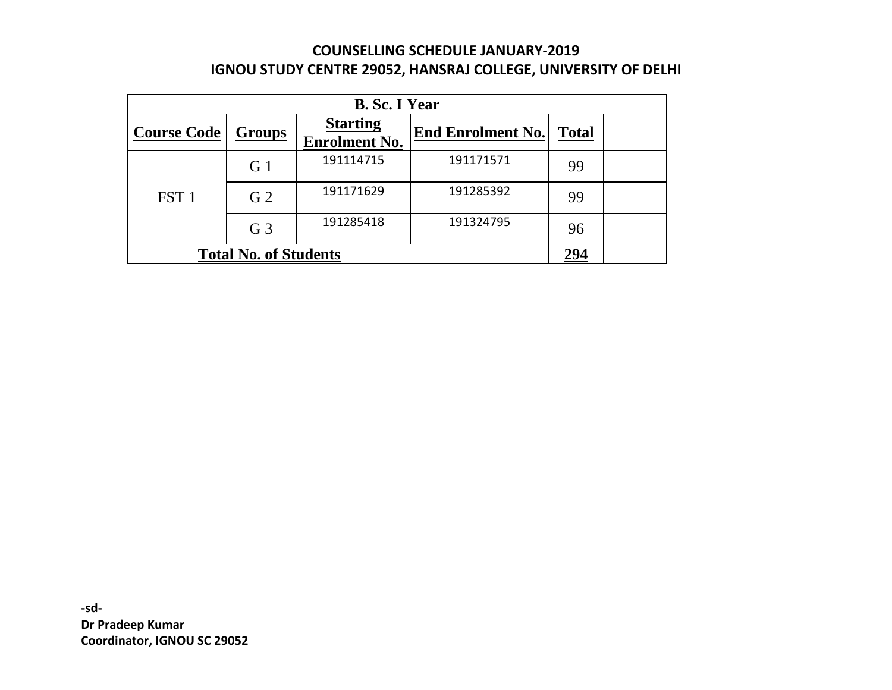| <b>B. Sc. I Year</b>                |                |                                         |                          |              |  |
|-------------------------------------|----------------|-----------------------------------------|--------------------------|--------------|--|
| <b>Course Code</b>                  | <b>Groups</b>  | <b>Starting</b><br><b>Enrolment No.</b> | <b>End Enrolment No.</b> | <b>Total</b> |  |
| FST <sub>1</sub>                    | G <sub>1</sub> | 191114715                               | 191171571                | 99           |  |
|                                     | G <sub>2</sub> | 191171629                               | 191285392                | 99           |  |
|                                     | G <sub>3</sub> | 191285418                               | 191324795                | 96           |  |
| <b>Total No. of Students</b><br>294 |                |                                         |                          |              |  |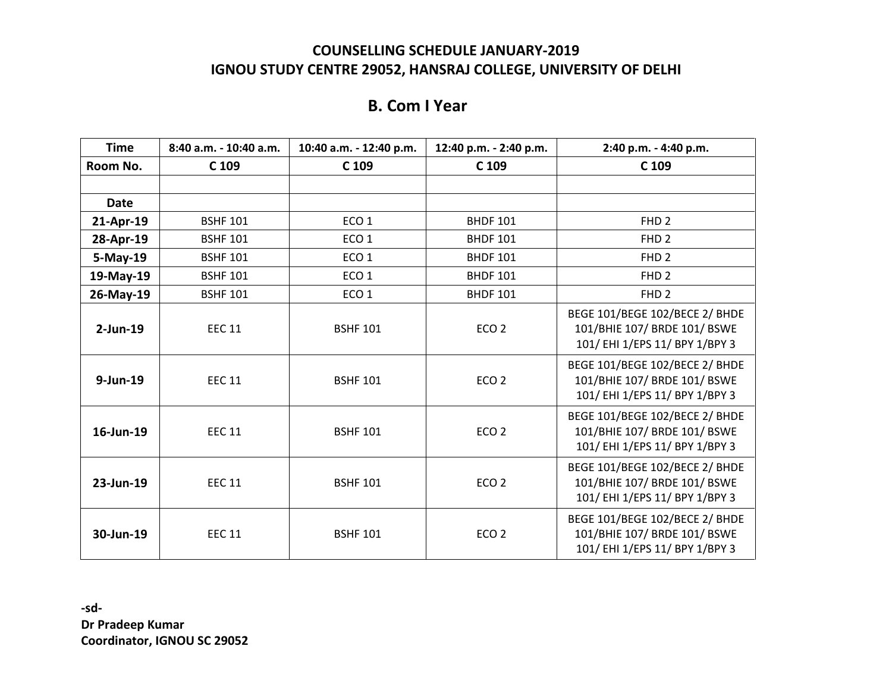## **B. Com I Year**

| <b>Time</b> | 8:40 a.m. - 10:40 a.m. | 10:40 a.m. - 12:40 p.m. | 12:40 p.m. - 2:40 p.m. | 2:40 p.m. - 4:40 p.m.                                                                            |
|-------------|------------------------|-------------------------|------------------------|--------------------------------------------------------------------------------------------------|
| Room No.    | C 109                  | C 109                   | C 109                  | C 109                                                                                            |
|             |                        |                         |                        |                                                                                                  |
| <b>Date</b> |                        |                         |                        |                                                                                                  |
| 21-Apr-19   | <b>BSHF 101</b>        | ECO <sub>1</sub>        | <b>BHDF 101</b>        | FHD <sub>2</sub>                                                                                 |
| 28-Apr-19   | <b>BSHF 101</b>        | ECO <sub>1</sub>        | <b>BHDF 101</b>        | FHD <sub>2</sub>                                                                                 |
| 5-May-19    | <b>BSHF 101</b>        | ECO <sub>1</sub>        | <b>BHDF 101</b>        | FHD <sub>2</sub>                                                                                 |
| 19-May-19   | <b>BSHF 101</b>        | ECO <sub>1</sub>        | <b>BHDF 101</b>        | FHD <sub>2</sub>                                                                                 |
| 26-May-19   | <b>BSHF 101</b>        | ECO <sub>1</sub>        | <b>BHDF 101</b>        | FHD <sub>2</sub>                                                                                 |
| $2$ -Jun-19 | <b>EEC 11</b>          | <b>BSHF 101</b>         | ECO <sub>2</sub>       | BEGE 101/BEGE 102/BECE 2/ BHDE<br>101/BHIE 107/ BRDE 101/ BSWE<br>101/ EHI 1/EPS 11/ BPY 1/BPY 3 |
| 9-Jun-19    | <b>EEC 11</b>          | <b>BSHF 101</b>         | ECO <sub>2</sub>       | BEGE 101/BEGE 102/BECE 2/ BHDE<br>101/BHIE 107/ BRDE 101/ BSWE<br>101/ EHI 1/EPS 11/ BPY 1/BPY 3 |
| 16-Jun-19   | <b>EEC 11</b>          | <b>BSHF 101</b>         | ECO <sub>2</sub>       | BEGE 101/BEGE 102/BECE 2/ BHDE<br>101/BHIE 107/ BRDE 101/ BSWE<br>101/ EHI 1/EPS 11/ BPY 1/BPY 3 |
| 23-Jun-19   | <b>EEC 11</b>          | <b>BSHF 101</b>         | ECO <sub>2</sub>       | BEGE 101/BEGE 102/BECE 2/ BHDE<br>101/BHIE 107/ BRDE 101/ BSWE<br>101/ EHI 1/EPS 11/ BPY 1/BPY 3 |
| 30-Jun-19   | <b>EEC 11</b>          | <b>BSHF 101</b>         | ECO <sub>2</sub>       | BEGE 101/BEGE 102/BECE 2/ BHDE<br>101/BHIE 107/ BRDE 101/ BSWE<br>101/ EHI 1/EPS 11/ BPY 1/BPY 3 |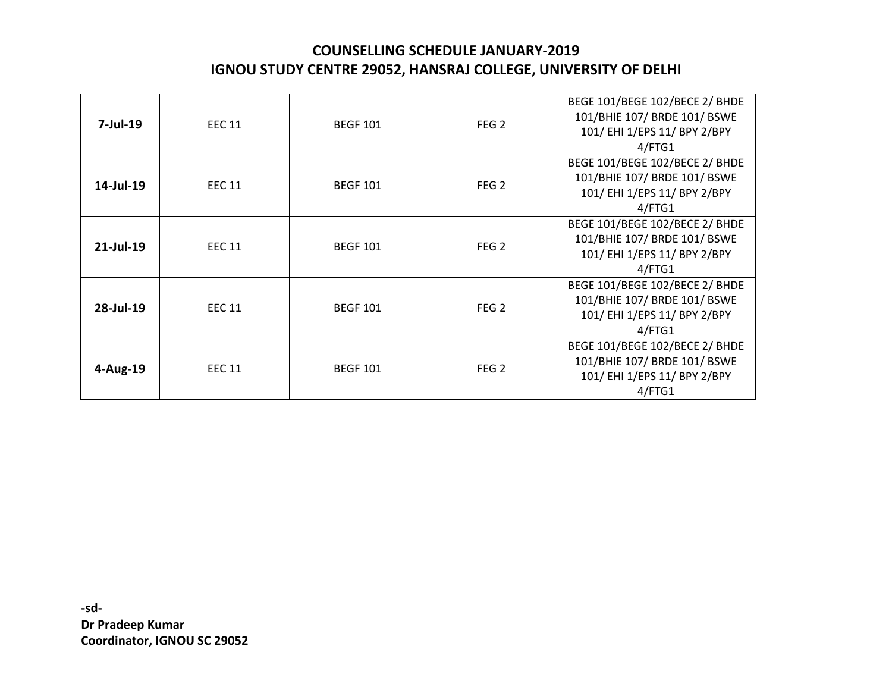| $7$ -Jul-19  | <b>EEC 11</b> | <b>BEGF 101</b> | FEG <sub>2</sub> | BEGE 101/BEGE 102/BECE 2/ BHDE<br>101/BHIE 107/ BRDE 101/ BSWE<br>101/ EHI 1/EPS 11/ BPY 2/BPY<br>4/FTG1 |
|--------------|---------------|-----------------|------------------|----------------------------------------------------------------------------------------------------------|
| 14-Jul-19    | <b>EEC 11</b> | <b>BEGF 101</b> | FEG <sub>2</sub> | BEGE 101/BEGE 102/BECE 2/ BHDE<br>101/BHIE 107/ BRDE 101/ BSWE<br>101/ EHI 1/EPS 11/ BPY 2/BPY<br>4/FTG1 |
| $21$ -Jul-19 | <b>EEC 11</b> | <b>BEGF 101</b> | FEG <sub>2</sub> | BEGE 101/BEGE 102/BECE 2/ BHDE<br>101/BHIE 107/ BRDE 101/ BSWE<br>101/ EHI 1/EPS 11/ BPY 2/BPY<br>4/FTG1 |
| 28-Jul-19    | <b>EEC 11</b> | <b>BEGF 101</b> | FEG <sub>2</sub> | BEGE 101/BEGE 102/BECE 2/ BHDE<br>101/BHIE 107/ BRDE 101/ BSWE<br>101/ EHI 1/EPS 11/ BPY 2/BPY<br>4/FTG1 |
| 4-Aug-19     | <b>EEC 11</b> | <b>BEGF 101</b> | FEG <sub>2</sub> | BEGE 101/BEGE 102/BECE 2/ BHDE<br>101/BHIE 107/ BRDE 101/ BSWE<br>101/ EHI 1/EPS 11/ BPY 2/BPY<br>4/FTG1 |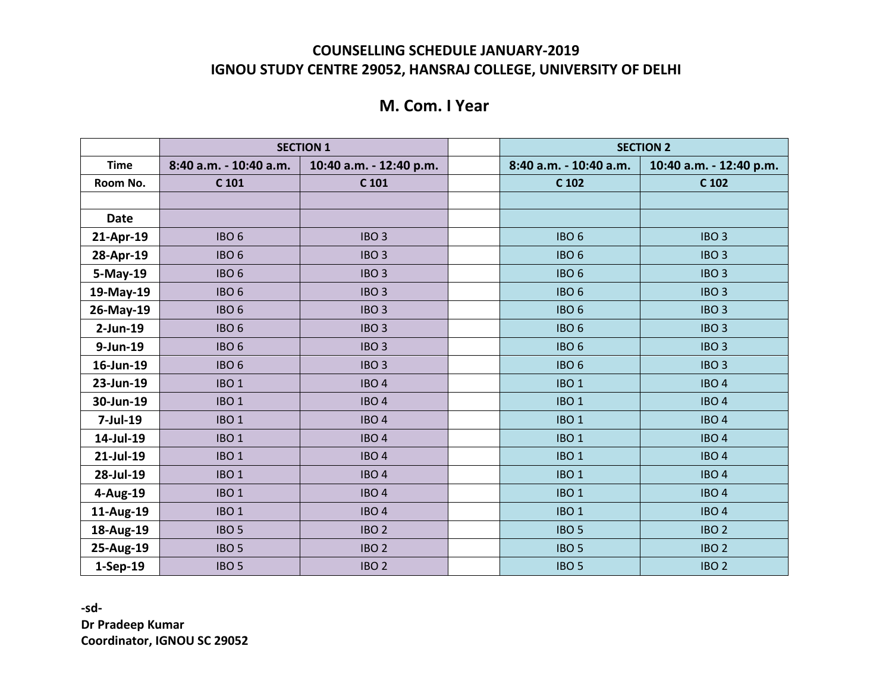## **M. Com. I Year**

|              | <b>SECTION 1</b>       |                         |  | <b>SECTION 2</b>       |                         |  |
|--------------|------------------------|-------------------------|--|------------------------|-------------------------|--|
| <b>Time</b>  | 8:40 a.m. - 10:40 a.m. | 10:40 a.m. - 12:40 p.m. |  | 8:40 a.m. - 10:40 a.m. | 10:40 a.m. - 12:40 p.m. |  |
| Room No.     | C 101                  | $C$ 101                 |  | C 102                  | C 102                   |  |
|              |                        |                         |  |                        |                         |  |
| <b>Date</b>  |                        |                         |  |                        |                         |  |
| 21-Apr-19    | IBO <sub>6</sub>       | IBO <sub>3</sub>        |  | IBO <sub>6</sub>       | IBO <sub>3</sub>        |  |
| 28-Apr-19    | IBO <sub>6</sub>       | IBO <sub>3</sub>        |  | IBO <sub>6</sub>       | IBO <sub>3</sub>        |  |
| 5-May-19     | IBO <sub>6</sub>       | IBO <sub>3</sub>        |  | IBO <sub>6</sub>       | IBO <sub>3</sub>        |  |
| 19-May-19    | IBO <sub>6</sub>       | IBO <sub>3</sub>        |  | IBO <sub>6</sub>       | IBO <sub>3</sub>        |  |
| 26-May-19    | IBO <sub>6</sub>       | IBO <sub>3</sub>        |  | IBO <sub>6</sub>       | IBO <sub>3</sub>        |  |
| $2$ -Jun-19  | IBO <sub>6</sub>       | IBO <sub>3</sub>        |  | IBO <sub>6</sub>       | IBO <sub>3</sub>        |  |
| 9-Jun-19     | IBO <sub>6</sub>       | IBO <sub>3</sub>        |  | IBO <sub>6</sub>       | IBO <sub>3</sub>        |  |
| 16-Jun-19    | IBO <sub>6</sub>       | IBO <sub>3</sub>        |  | IBO <sub>6</sub>       | IBO <sub>3</sub>        |  |
| 23-Jun-19    | IBO <sub>1</sub>       | IBO <sub>4</sub>        |  | IBO <sub>1</sub>       | IBO <sub>4</sub>        |  |
| 30-Jun-19    | IBO <sub>1</sub>       | IBO <sub>4</sub>        |  | IBO <sub>1</sub>       | IBO <sub>4</sub>        |  |
| $7$ -Jul-19  | IBO <sub>1</sub>       | IBO <sub>4</sub>        |  | IBO <sub>1</sub>       | IBO <sub>4</sub>        |  |
| 14-Jul-19    | IBO <sub>1</sub>       | IBO <sub>4</sub>        |  | IBO <sub>1</sub>       | IBO <sub>4</sub>        |  |
| $21$ -Jul-19 | IBO <sub>1</sub>       | IBO <sub>4</sub>        |  | IBO <sub>1</sub>       | IBO <sub>4</sub>        |  |
| 28-Jul-19    | IBO <sub>1</sub>       | IBO <sub>4</sub>        |  | IBO <sub>1</sub>       | IBO <sub>4</sub>        |  |
| 4-Aug-19     | IBO <sub>1</sub>       | IBO <sub>4</sub>        |  | IBO <sub>1</sub>       | IBO <sub>4</sub>        |  |
| 11-Aug-19    | IBO <sub>1</sub>       | IBO <sub>4</sub>        |  | IBO <sub>1</sub>       | IBO <sub>4</sub>        |  |
| 18-Aug-19    | IBO <sub>5</sub>       | IBO <sub>2</sub>        |  | IBO <sub>5</sub>       | IBO <sub>2</sub>        |  |
| 25-Aug-19    | IBO <sub>5</sub>       | IBO <sub>2</sub>        |  | IBO <sub>5</sub>       | IBO <sub>2</sub>        |  |
| 1-Sep-19     | IBO <sub>5</sub>       | IBO <sub>2</sub>        |  | IBO <sub>5</sub>       | IBO <sub>2</sub>        |  |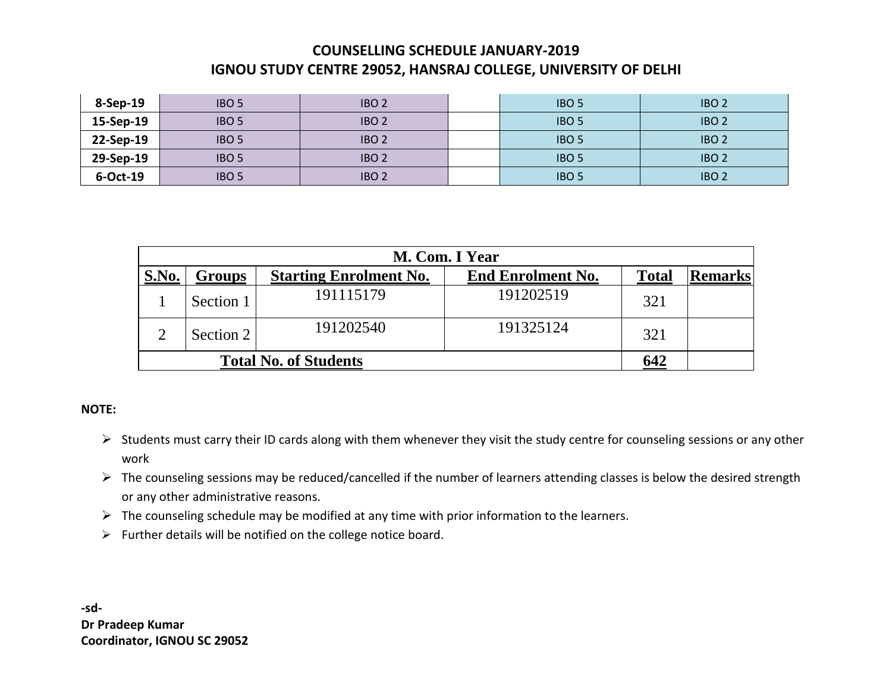| 8-Sep-19  | IBO <sub>5</sub> | IBO <sub>2</sub> | IBO <sub>5</sub> | IBO <sub>2</sub> |
|-----------|------------------|------------------|------------------|------------------|
| 15-Sep-19 | IBO <sub>5</sub> | IBO <sub>2</sub> | IBO <sub>5</sub> | IBO <sub>2</sub> |
| 22-Sep-19 | IBO <sub>5</sub> | IBO <sub>2</sub> | IBO <sub>5</sub> | IBO <sub>2</sub> |
| 29-Sep-19 | IBO <sub>5</sub> | IBO <sub>2</sub> | IBO <sub>5</sub> | IBO <sub>2</sub> |
| 6-Oct-19  | IBO <sub>5</sub> | IBO <sub>2</sub> | <b>IBO 5</b>     | IBO <sub>2</sub> |

|              | M. Com. I Year               |                               |                          |              |                |  |
|--------------|------------------------------|-------------------------------|--------------------------|--------------|----------------|--|
| <b>S.No.</b> | Groups                       | <b>Starting Enrolment No.</b> | <b>End Enrolment No.</b> | <b>Total</b> | <b>Remarks</b> |  |
|              | Section 1                    | 191115179                     | 191202519                | 321          |                |  |
|              | Section 2                    | 191202540                     | 191325124                | 321          |                |  |
|              | <b>Total No. of Students</b> | 642                           |                          |              |                |  |

#### **NOTE:**

- Students must carry their ID cards along with them whenever they visit the study centre for counseling sessions or any other work
- $\triangleright$  The counseling sessions may be reduced/cancelled if the number of learners attending classes is below the desired strength or any other administrative reasons.
- $\triangleright$  The counseling schedule may be modified at any time with prior information to the learners.
- $\triangleright$  Further details will be notified on the college notice board.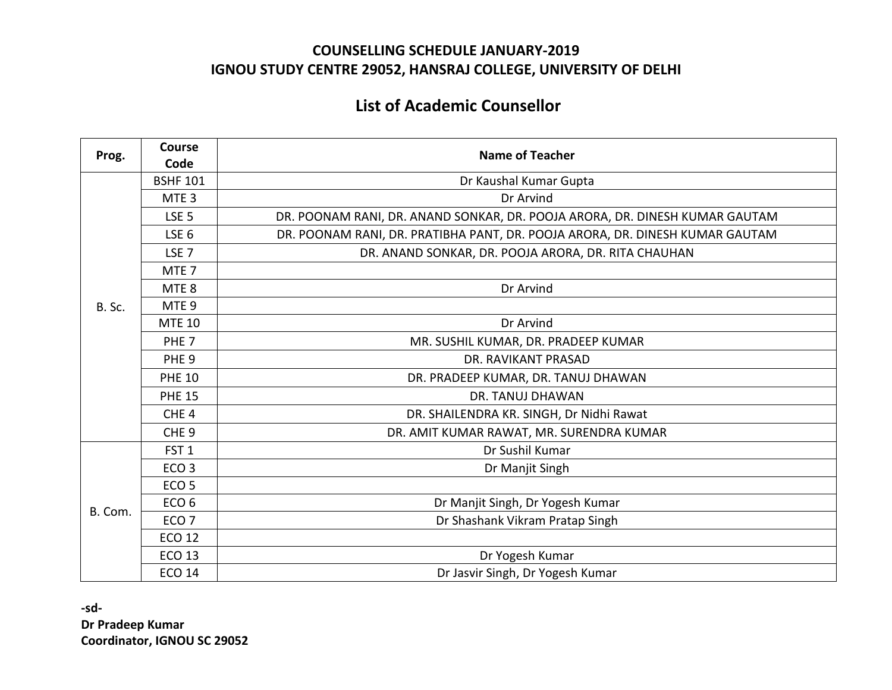# **List of Academic Counsellor**

| Prog.   | <b>Course</b>    | <b>Name of Teacher</b>                                                       |
|---------|------------------|------------------------------------------------------------------------------|
|         | Code             |                                                                              |
|         | <b>BSHF 101</b>  | Dr Kaushal Kumar Gupta                                                       |
|         | MTE <sub>3</sub> | Dr Arvind                                                                    |
|         | LSE <sub>5</sub> | DR. POONAM RANI, DR. ANAND SONKAR, DR. POOJA ARORA, DR. DINESH KUMAR GAUTAM  |
|         | LSE <sub>6</sub> | DR. POONAM RANI, DR. PRATIBHA PANT, DR. POOJA ARORA, DR. DINESH KUMAR GAUTAM |
|         | LSE <sub>7</sub> | DR. ANAND SONKAR, DR. POOJA ARORA, DR. RITA CHAUHAN                          |
|         | MTE <sub>7</sub> |                                                                              |
|         | MTE <sub>8</sub> | Dr Arvind                                                                    |
| B. Sc.  | MTE <sub>9</sub> |                                                                              |
|         | <b>MTE 10</b>    | Dr Arvind                                                                    |
|         | PHE <sub>7</sub> | MR. SUSHIL KUMAR, DR. PRADEEP KUMAR                                          |
|         | PHE <sub>9</sub> | DR. RAVIKANT PRASAD                                                          |
|         | <b>PHE 10</b>    | DR. PRADEEP KUMAR, DR. TANUJ DHAWAN                                          |
|         | <b>PHE 15</b>    | <b>DR. TANUJ DHAWAN</b>                                                      |
|         | CHE <sub>4</sub> | DR. SHAILENDRA KR. SINGH, Dr Nidhi Rawat                                     |
|         | CHE <sub>9</sub> | DR. AMIT KUMAR RAWAT, MR. SURENDRA KUMAR                                     |
|         | FST <sub>1</sub> | Dr Sushil Kumar                                                              |
|         | ECO <sub>3</sub> | Dr Manjit Singh                                                              |
|         | ECO <sub>5</sub> |                                                                              |
| B. Com. | ECO <sub>6</sub> | Dr Manjit Singh, Dr Yogesh Kumar                                             |
|         | ECO <sub>7</sub> | Dr Shashank Vikram Pratap Singh                                              |
|         | <b>ECO 12</b>    |                                                                              |
|         | <b>ECO 13</b>    | Dr Yogesh Kumar                                                              |
|         | <b>ECO 14</b>    | Dr Jasvir Singh, Dr Yogesh Kumar                                             |